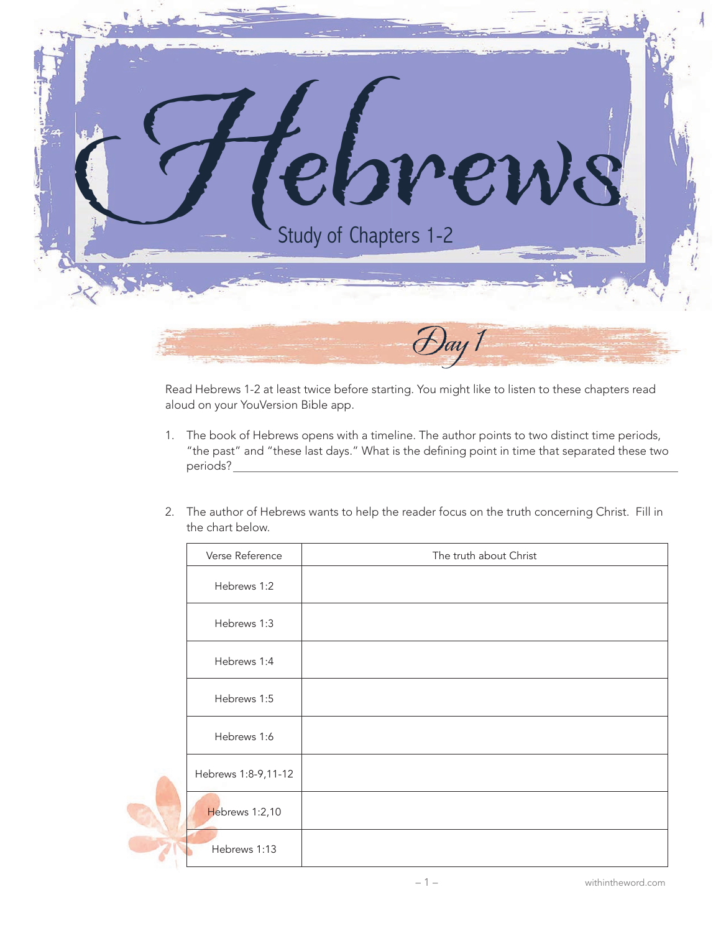

Read Hebrews 1-2 at least twice before starting. You might like to listen to these chapters read aloud on your YouVersion Bible app.

- 1. The book of Hebrews opens with a timeline. The author points to two distinct time periods, "the past" and "these last days." What is the defining point in time that separated these two periods?
- 2. The author of Hebrews wants to help the reader focus on the truth concerning Christ. Fill in the chart below.

|  | Verse Reference     | The truth about Christ |
|--|---------------------|------------------------|
|  | Hebrews 1:2         |                        |
|  | Hebrews 1:3         |                        |
|  | Hebrews 1:4         |                        |
|  | Hebrews 1:5         |                        |
|  | Hebrews 1:6         |                        |
|  | Hebrews 1:8-9,11-12 |                        |
|  | Hebrews 1:2,10      |                        |
|  | Hebrews 1:13        |                        |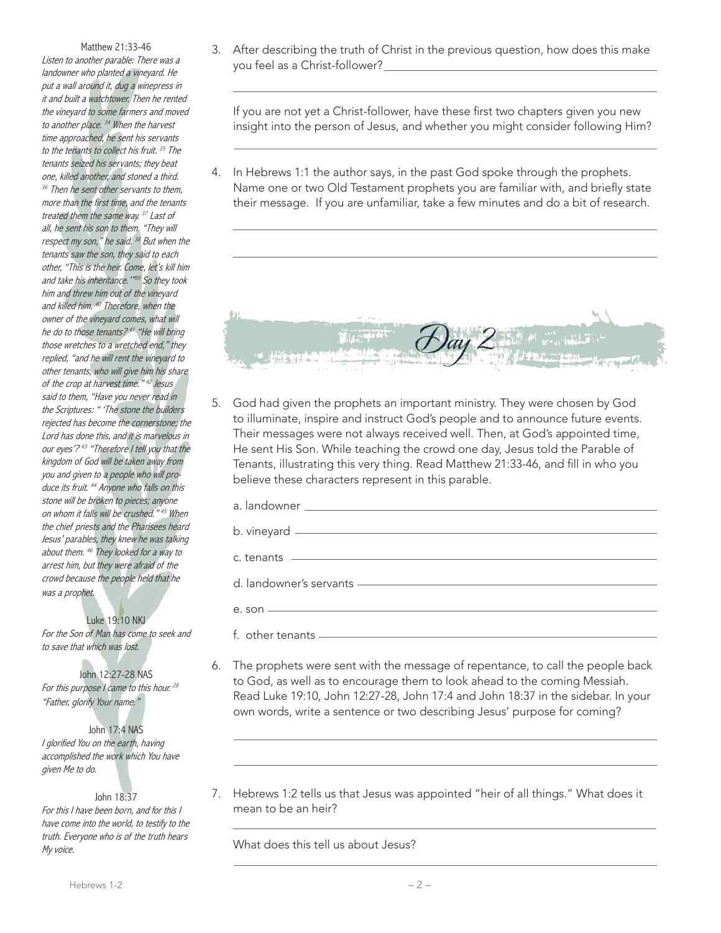### Matthew 21:33-46

Listen to another parable: There was a landowner who planted a vineyard. He put a wall around it, dug a winepress in it and built a watchtower. Then he rented the vineyard to some farmers and moved to another place.<sup>34</sup> When the harvest time approached, he sent his servants to the tenants to collect his fruit. <sup>35</sup> The tenants seized his servants; they beat one, killed another, and stoned a third. <sup>36</sup> Then he sent other servants to them, more than the first time, and the tenants treated them the same way. <sup>37</sup> Last of all, he sent his son to them. "They will respect my son," he said.<sup>38</sup> But when the tenants saw the son, they said to each other, "This is the heir. Come, let's kill him and take his inheritance."<sup>199</sup> So they took him and threw him out of the vineyard and killed him. <sup>40</sup> Therefore, when the owner of the vineyard comes, what will he do to those tenants? <sup>41</sup> "He will bring those wretches to a wretched end," they replied, "and he will rent the vineyard to other tenants, who will give him his share of the crop at harvest time." <sup>42</sup> Jesus said to them, "Have you never read in the Scriptures: " 'The stone the builders rejected has become the cornerstone; the Lord has done this, and it is marvelous in our eyes'? <sup>43</sup> "Therefore I tell you that the kingdom of God will be taken away from you and given to a people who will produce its fruit. <sup>44</sup> Anyone who falls on this stone will be broken to pieces; anyone on whom it falls will be crushed." <sup>45</sup> When the chief priests and the Pharisees heard Jesus' parables, they knew he was talking about them. <sup>46</sup> They looked for a way to arrest him, but they were afraid of the crowd because the people held that he was a prophet.

Luke 19:10 NKJ For the Son of Man has come to seek and to save that which was lost.

John 12:27-28 NAS For this purpose I came to this hour.<sup>28</sup> "Father, glorify Your name."

#### John 17:4 NAS

I glorified You on the earth, having accomplished the work which You have given Me to do.

### John 18:37

For this I have been born, and for this I have come into the world, to testify to the truth. Everyone who is of the truth hears My voice.

3. After describing the truth of Christ in the previous question, how does this make you feel as a Christ-follower?

If you are not yet a Christ-follower, have these first two chapters given you new insight into the person of Jesus, and whether you might consider following Him?

4. In Hebrews 1:1 the author says, in the past God spoke through the prophets. Name one or two Old Testament prophets you are familiar with, and briefly state their message. If you are unfamiliar, take a few minutes and do a bit of research.



5. God had given the prophets an important ministry. They were chosen by God to illuminate, inspire and instruct God's people and to announce future events. Their messages were not always received well. Then, at God's appointed time, He sent His Son. While teaching the crowd one day, Jesus told the Parable of Tenants, illustrating this very thing. Read Matthew 21:33-46, and fill in who you believe these characters represent in this parable.

| c. tenants ————————————————————————                                                                             |  |
|-----------------------------------------------------------------------------------------------------------------|--|
| d. landowner's servants - All and the serve of the serve of the serve of the serve of the serve of the serve of |  |
| $e.$ son $\overline{\phantom{a}}$                                                                               |  |
| $f.$ other tenants $\overline{\phantom{a}}$                                                                     |  |

- 6. The prophets were sent with the message of repentance, to call the people back to God, as well as to encourage them to look ahead to the coming Messiah. Read Luke 19:10, John 12:27-28, John 17:4 and John 18:37 in the sidebar. In your own words, write a sentence or two describing Jesus' purpose for coming?
- 7. Hebrews 1:2 tells us that Jesus was appointed "heir of all things." What does it mean to be an heir?

What does this tell us about Jesus?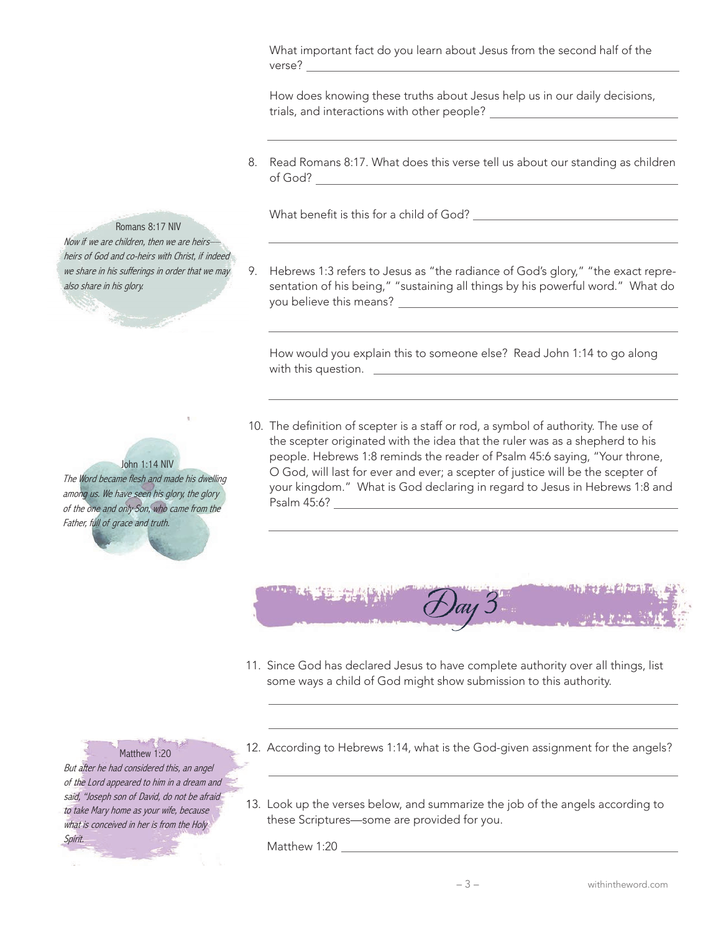What important fact do you learn about Jesus from the second half of the verse?

How does knowing these truths about Jesus help us in our daily decisions, trials, and interactions with other people?

8. Read Romans 8:17. What does this verse tell us about our standing as children of God?

What benefit is this for a child of God?

Hebrews 1:3 refers to Jesus as "the radiance of God's glory," "the exact representation of his being," "sustaining all things by his powerful word." What do you believe this means? 9.

How would you explain this to someone else? Read John 1:14 to go along with this question.

Romans 8:17 NIV Now if we are children, then we are heirs heirs of God and co-heirs with Christ, if indeed we share in his sufferings in order that we may

also share in his glory.

John 1:14 NIV The Word became flesh and made his dwelling among us. We have seen his glory, the glory of the one and only Son, who came from the Father, full of grace and truth.

10. The definition of scepter is a staff or rod, a symbol of authority. The use of the scepter originated with the idea that the ruler was as a shepherd to his people. Hebrews 1:8 reminds the reader of Psalm 45:6 saying, "Your throne, O God, will last for ever and ever; a scepter of justice will be the scepter of your kingdom." What is God declaring in regard to Jesus in Hebrews 1:8 and Psalm 45:6?



11. Since God has declared Jesus to have complete authority over all things, list some ways a child of God might show submission to this authority.

### Matthew 1:20

But after he had considered this, an angel of the Lord appeared to him in a dream and said, "Joseph son of David, do not be afraid to take Mary home as your wife, because what is conceived in her is from the Holy Spirit.

- 12. According to Hebrews 1:14, what is the God-given assignment for the angels? 12.
- 13. Look up the verses below, and summarize the job of the angels according to 13. these Scriptures—some are provided for you.

Matthew 1:20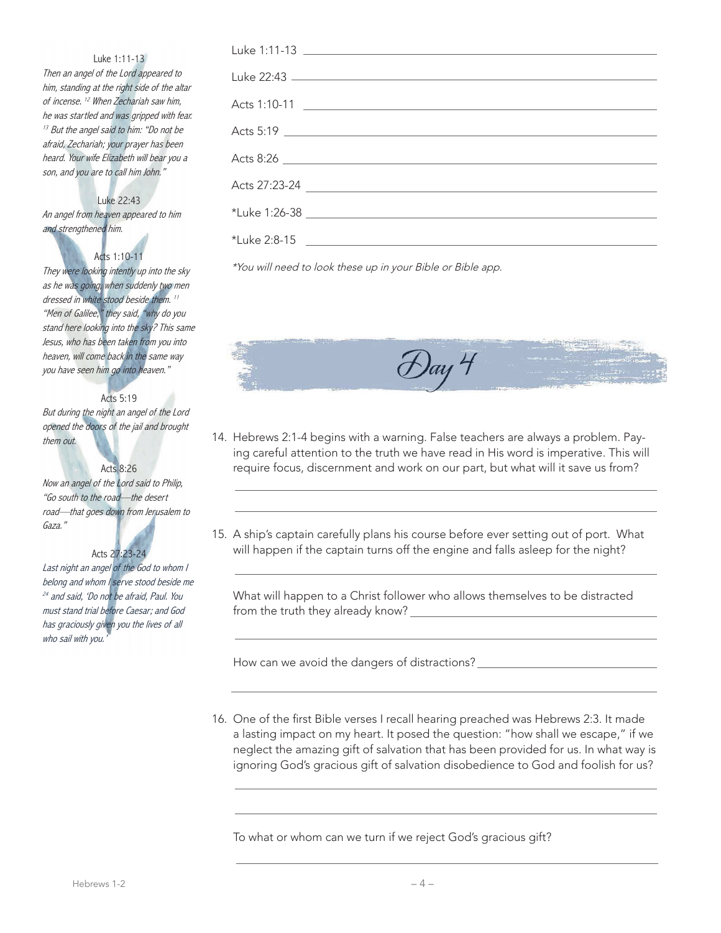### Luke 1:11-13

Then an angel of the Lord appeared to him, standing at the right side of the altar of incense. <sup>12</sup> When Zechariah saw him, he was startled and was gripped with fear. <sup>13</sup> But the angel said to him: "Do not be afraid, Zechariah; your prayer has been heard. Your wife Elizabeth will bear you a son, and you are to call him John."

## Luke 22:43

An angel from heaven appeared to him and strengthened him.

# Acts 1:10-11

They were looking intently up into the sky as he was going, when suddenly two men dressed in white stood beside them.<sup>11</sup> "Men of Galilee," they said, "why do you stand here looking into the sky? This same Jesus, who has been taken from you into heaven, will come back in the same way you have seen him go into heaven."

## Acts 5:19

But during the night an angel of the Lord opened the doors of the jail and brought them out.

## Acts 8:26

Now an angel of the Lord said to Philip, "Go south to the road—the desert road—that goes down from Jerusalem to Gaza."

## Acts 27:23-24

Last night an angel of the God to whom I belong and whom I serve stood beside me <sup>24</sup> and said, 'Do not be afraid, Paul. You must stand trial before Caesar; and God has graciously given you the lives of all who sail with you.'

| Acts 5:19     |
|---------------|
| Acts 8:26     |
| Acts 27:23-24 |
|               |
| *Luke 2:8-15  |

\*You will need to look these up in your Bible or Bible app.



- 14. Hebrews 2:1-4 begins with a warning. False teachers are always a problem. Paying careful attention to the truth we have read in His word is imperative. This will require focus, discernment and work on our part, but what will it save us from?
- 15. A ship's captain carefully plans his course before ever setting out of port. What will happen if the captain turns off the engine and falls asleep for the night?

What will happen to a Christ follower who allows themselves to be distracted from the truth they already know?

How can we avoid the dangers of distractions?

16. One of the first Bible verses I recall hearing preached was Hebrews 2:3. It made a lasting impact on my heart. It posed the question: "how shall we escape," if we neglect the amazing gift of salvation that has been provided for us. In what way is ignoring God's gracious gift of salvation disobedience to God and foolish for us?

To what or whom can we turn if we reject God's gracious gift?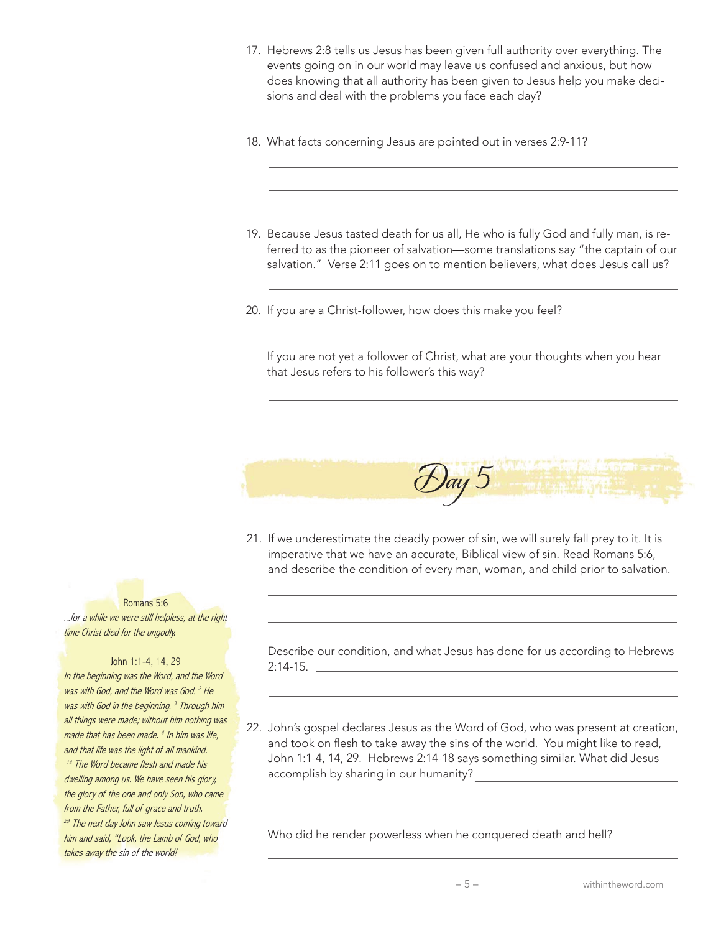- 17. Hebrews 2:8 tells us Jesus has been given full authority over everything. The events going on in our world may leave us confused and anxious, but how does knowing that all authority has been given to Jesus help you make decisions and deal with the problems you face each day?
- 18. What facts concerning Jesus are pointed out in verses 2:9-11?
- 19. Because Jesus tasted death for us all, He who is fully God and fully man, is referred to as the pioneer of salvation—some translations say "the captain of our salvation." Verse 2:11 goes on to mention believers, what does Jesus call us?
- 20. If you are a Christ-follower, how does this make you feel? \_\_\_\_\_\_\_\_\_\_\_\_\_\_\_\_\_

If you are not yet a follower of Christ, what are your thoughts when you hear that Jesus refers to his follower's this way?

21. If we underestimate the deadly power of sin, we will surely fall prey to it. It is imperative that we have an accurate, Biblical view of sin. Read Romans 5:6, and describe the condition of every man, woman, and child prior to salvation.

 $D$ ay  $D$ 

Romans 5:6 ...for a while we were still helpless, at the right

time Christ died for the ungodly.

John 1:1-4, 14, 29 In the beginning was the Word, and the Word was with God, and the Word was God. <sup>2</sup> He was with God in the beginning.<sup>3</sup> Through him all things were made; without him nothing was made that has been made. <sup>4</sup> In him was life, and that life was the light of all mankind. <sup>14</sup> The Word became flesh and made his dwelling among us. We have seen his glory, the glory of the one and only Son, who came from the Father, full of grace and truth. <sup>29</sup> The next day John saw Jesus coming toward him and said, "Look, the Lamb of God, who takes away the sin of the world!

Describe our condition, and what Jesus has done for us according to Hebrews 2:14-15.

22. John's gospel declares Jesus as the Word of God, who was present at creation, and took on flesh to take away the sins of the world. You might like to read, John 1:1-4, 14, 29. Hebrews 2:14-18 says something similar. What did Jesus accomplish by sharing in our humanity?

Who did he render powerless when he conquered death and hell?